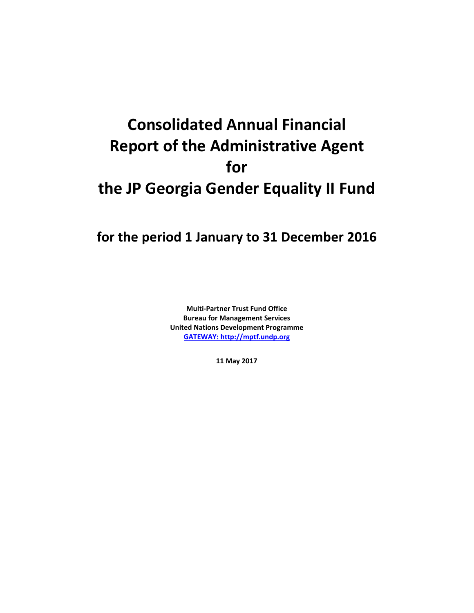# **Consolidated Annual Financial Report of the Administrative Agent for the JP Georgia Gender Equality II Fund**

# **for the period 1 January to 31 December 2016**

**Multi-Partner Trust Fund Office Bureau for Management Services United Nations Development Programme [GATEWAY: http://mptf.undp.org](http://mptf.undp.org/)**

**11 May 2017**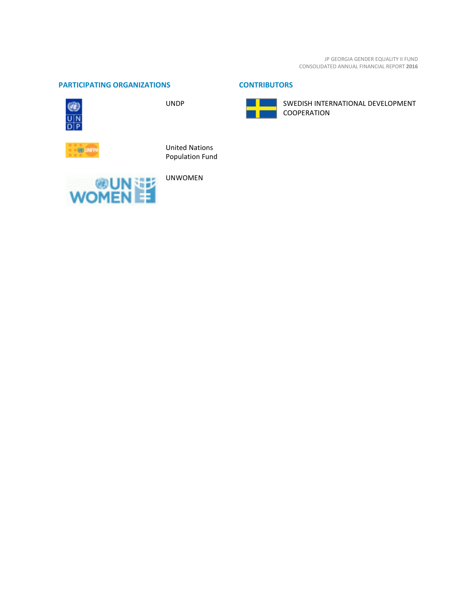JP GEORGIA GENDER EQUALITY II FUND CONSOLIDATED ANNUAL FINANCIAL REPORT **2016**

# **PARTICIPATING ORGANIZATIONS CONTRIBUTORS**



UNDP





SWEDISH INTERNATIONAL DEVELOPMENT COOPERATION



United Nations Population Fund

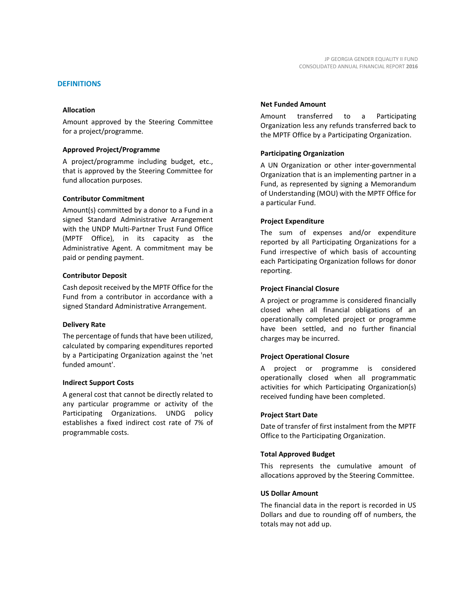# **DEFINITIONS**

#### **Allocation**

Amount approved by the Steering Committee for a project/programme.

# **Approved Project/Programme**

A project/programme including budget, etc., that is approved by the Steering Committee for fund allocation purposes.

#### **Contributor Commitment**

Amount(s) committed by a donor to a Fund in a signed Standard Administrative Arrangement with the UNDP Multi-Partner Trust Fund Office (MPTF Office), in its capacity as the Administrative Agent. A commitment may be paid or pending payment.

#### **Contributor Deposit**

Cash deposit received by the MPTF Office for the Fund from a contributor in accordance with a signed Standard Administrative Arrangement.

#### **Delivery Rate**

The percentage of funds that have been utilized, calculated by comparing expenditures reported by a Participating Organization against the 'net funded amount'.

#### **Indirect Support Costs**

A general cost that cannot be directly related to any particular programme or activity of the Participating Organizations. UNDG policy establishes a fixed indirect cost rate of 7% of programmable costs.

#### **Net Funded Amount**

Amount transferred to a Participating Organization less any refunds transferred back to the MPTF Office by a Participating Organization.

# **Participating Organization**

A UN Organization or other inter-governmental Organization that is an implementing partner in a Fund, as represented by signing a Memorandum of Understanding (MOU) with the MPTF Office for a particular Fund.

#### **Project Expenditure**

The sum of expenses and/or expenditure reported by all Participating Organizations for a Fund irrespective of which basis of accounting each Participating Organization follows for donor reporting.

#### **Project Financial Closure**

A project or programme is considered financially closed when all financial obligations of an operationally completed project or programme have been settled, and no further financial charges may be incurred.

# **Project Operational Closure**

A project or programme is considered operationally closed when all programmatic activities for which Participating Organization(s) received funding have been completed.

#### **Project Start Date**

Date of transfer of first instalment from the MPTF Office to the Participating Organization.

# **Total Approved Budget**

This represents the cumulative amount of allocations approved by the Steering Committee.

# **US Dollar Amount**

The financial data in the report is recorded in US Dollars and due to rounding off of numbers, the totals may not add up.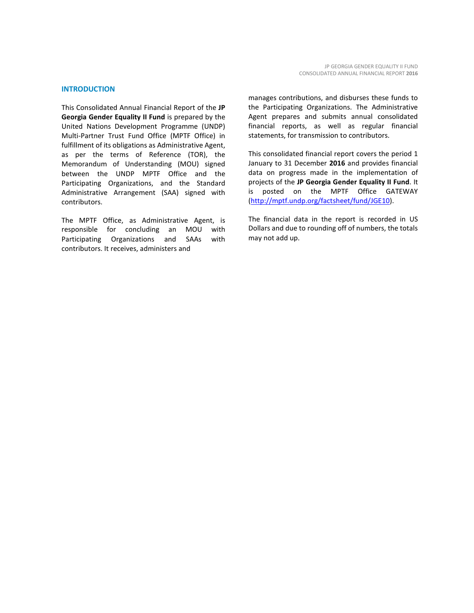This Consolidated Annual Financial Report of the **JP Georgia Gender Equality II Fund** is prepared by the United Nations Development Programme (UNDP) Multi-Partner Trust Fund Office (MPTF Office) in fulfillment of its obligations as Administrative Agent, as per the terms of Reference (TOR), the Memorandum of Understanding (MOU) signed between the UNDP MPTF Office and the Participating Organizations, and the Standard Administrative Arrangement (SAA) signed with contributors.

The MPTF Office, as Administrative Agent, is responsible for concluding an MOU with Participating Organizations and SAAs with contributors. It receives, administers and

manages contributions, and disburses these funds to the Participating Organizations. The Administrative Agent prepares and submits annual consolidated financial reports, as well as regular financial statements, for transmission to contributors.

This consolidated financial report covers the period 1 January to 31 December **2016** and provides financial data on progress made in the implementation of projects of the **JP Georgia Gender Equality II Fund**. It is posted on the MPTF Office GATEWAY [\(http://mptf.undp.org/factsheet/fund/JGE10\)](http://mptf.undp.org/factsheet/fund/JGE10).

The financial data in the report is recorded in US Dollars and due to rounding off of numbers, the totals may not add up.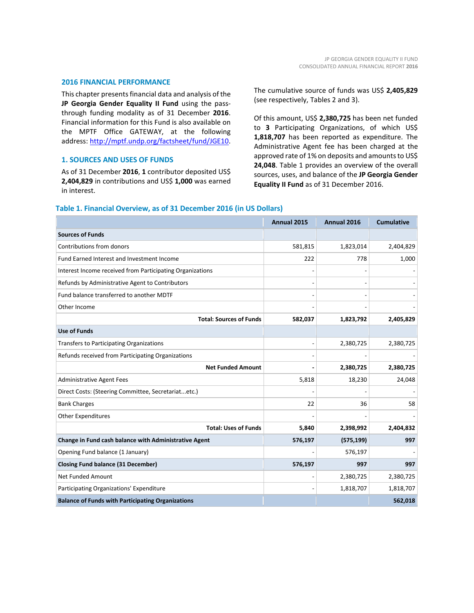# **2016 FINANCIAL PERFORMANCE**

This chapter presents financial data and analysis of the **JP Georgia Gender Equality II Fund** using the passthrough funding modality as of 31 December **2016**. Financial information for this Fund is also available on the MPTF Office GATEWAY, at the following address: [http://mptf.undp.org/factsheet/fund/JGE10.](http://mptf.undp.org/factsheet/fund/JGE10)

# **1. SOURCES AND USES OF FUNDS**

As of 31 December **2016**, **1** contributor deposited US\$ **2,404,829** in contributions and US\$ **1,000** was earned in interest.

The cumulative source of funds was US\$ **2,405,829** (see respectively, Tables 2 and 3).

Of this amount, US\$ **2,380,725** has been net funded to **3** Participating Organizations, of which US\$ **1,818,707** has been reported as expenditure. The Administrative Agent fee has been charged at the approved rate of 1% on deposits and amounts to US\$ **24,048**. Table 1 provides an overview of the overall sources, uses, and balance of the **JP Georgia Gender Equality II Fund** as of 31 December 2016.

|                                                           | Annual 2015 | Annual 2016 | <b>Cumulative</b> |
|-----------------------------------------------------------|-------------|-------------|-------------------|
| <b>Sources of Funds</b>                                   |             |             |                   |
| Contributions from donors                                 | 581,815     | 1,823,014   | 2,404,829         |
| Fund Earned Interest and Investment Income                | 222         | 778         | 1,000             |
| Interest Income received from Participating Organizations |             |             |                   |
| Refunds by Administrative Agent to Contributors           |             |             |                   |
| Fund balance transferred to another MDTF                  |             |             |                   |
| Other Income                                              |             |             |                   |
| <b>Total: Sources of Funds</b>                            | 582,037     | 1,823,792   | 2,405,829         |
| <b>Use of Funds</b>                                       |             |             |                   |
| Transfers to Participating Organizations                  |             | 2,380,725   | 2,380,725         |
| Refunds received from Participating Organizations         |             |             |                   |
| <b>Net Funded Amount</b>                                  |             | 2,380,725   | 2,380,725         |
| <b>Administrative Agent Fees</b>                          | 5,818       | 18,230      | 24,048            |
| Direct Costs: (Steering Committee, Secretariatetc.)       |             |             |                   |
| <b>Bank Charges</b>                                       | 22          | 36          | 58                |
| <b>Other Expenditures</b>                                 |             |             |                   |
| <b>Total: Uses of Funds</b>                               | 5,840       | 2,398,992   | 2,404,832         |
| Change in Fund cash balance with Administrative Agent     | 576,197     | (575, 199)  | 997               |
| Opening Fund balance (1 January)                          |             | 576,197     |                   |
| <b>Closing Fund balance (31 December)</b>                 | 576,197     | 997         | 997               |
| Net Funded Amount                                         |             | 2,380,725   | 2,380,725         |
| Participating Organizations' Expenditure                  |             | 1,818,707   | 1,818,707         |
| <b>Balance of Funds with Participating Organizations</b>  |             |             | 562,018           |

# **Table 1. Financial Overview, as of 31 December 2016 (in US Dollars)**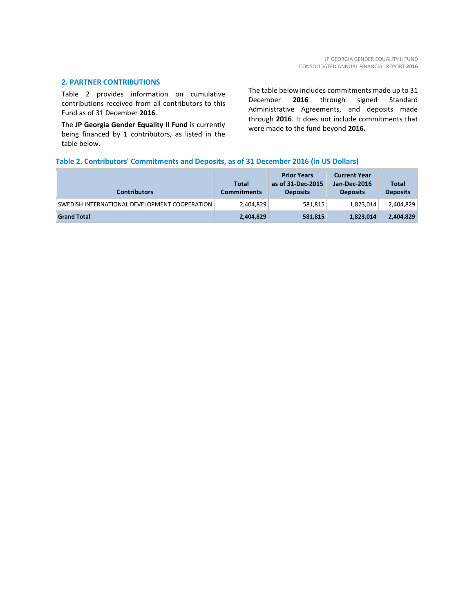# **2. PARTNER CONTRIBUTIONS**

Table 2 provides information on cumulative contributions received from all contributors to this Fund as of 31 December **2016**.

The **JP Georgia Gender Equality II Fund** is currently being financed by **1** contributors, as listed in the table below.

The table below includes commitments made up to 31 December **2016** through signed Standard Administrative Agreements, and deposits made through **2016**. It does not include commitments that were made to the fund beyond **2016.**

# **Table 2. Contributors' Commitments and Deposits, as of 31 December 2016 (in US Dollars)**

| <b>Contributors</b>                           | <b>Total</b><br><b>Commitments</b> | <b>Prior Years</b><br>as of 31-Dec-2015<br><b>Deposits</b> | <b>Current Year</b><br>Jan-Dec-2016<br><b>Deposits</b> | <b>Total</b><br><b>Deposits</b> |
|-----------------------------------------------|------------------------------------|------------------------------------------------------------|--------------------------------------------------------|---------------------------------|
| SWEDISH INTERNATIONAL DEVELOPMENT COOPERATION | 2,404,829                          | 581,815                                                    | 1,823,014                                              | 2,404,829                       |
| <b>Grand Total</b>                            | 2,404,829                          | 581,815                                                    | 1,823,014                                              | 2,404,829                       |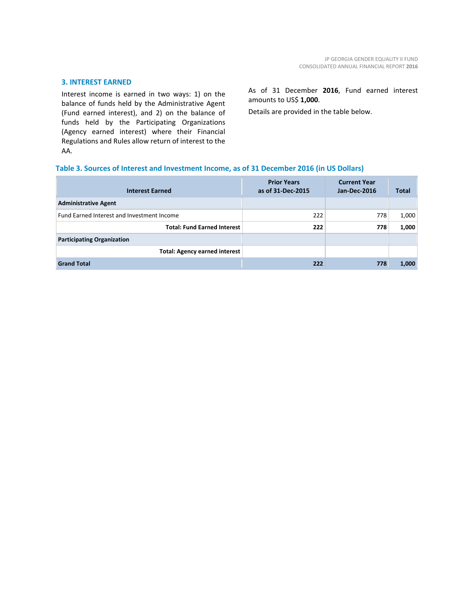# **3. INTEREST EARNED**

Interest income is earned in two ways: 1) on the balance of funds held by the Administrative Agent (Fund earned interest), and 2) on the balance of funds held by the Participating Organizations (Agency earned interest) where their Financial Regulations and Rules allow return of interest to the AA.

As of 31 December **2016**, Fund earned interest amounts to US\$ **1,000**.

Details are provided in the table below.

# **Table 3. Sources of Interest and Investment Income, as of 31 December 2016 (in US Dollars)**

| <b>Interest Earned</b>                     | <b>Prior Years</b><br>as of 31-Dec-2015 | <b>Current Year</b><br>Jan-Dec-2016 | <b>Total</b> |
|--------------------------------------------|-----------------------------------------|-------------------------------------|--------------|
| <b>Administrative Agent</b>                |                                         |                                     |              |
| Fund Earned Interest and Investment Income | 222                                     | 778                                 | 1,000        |
| <b>Total: Fund Earned Interest</b>         | 222                                     | 778                                 | 1,000        |
| <b>Participating Organization</b>          |                                         |                                     |              |
| <b>Total: Agency earned interest</b>       |                                         |                                     |              |
| <b>Grand Total</b>                         | 222                                     | 778                                 | 1,000        |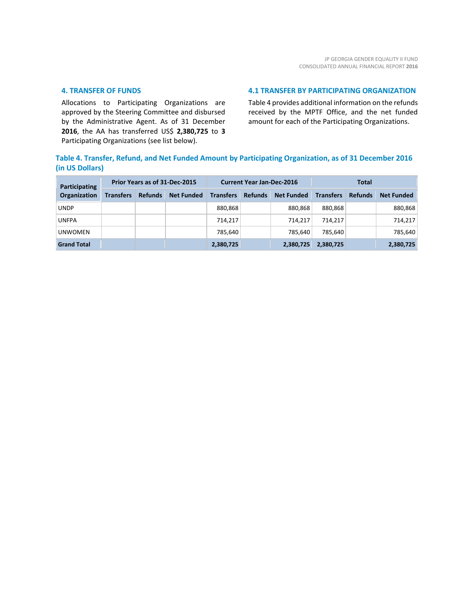# **4. TRANSFER OF FUNDS**

Allocations to Participating Organizations are approved by the Steering Committee and disbursed by the Administrative Agent. As of 31 December **2016**, the AA has transferred US\$ **2,380,725** to **3** Participating Organizations (see list below).

# **4.1 TRANSFER BY PARTICIPATING ORGANIZATION**

Table 4 provides additional information on the refunds received by the MPTF Office, and the net funded amount for each of the Participating Organizations.

# **Table 4. Transfer, Refund, and Net Funded Amount by Participating Organization, as of 31 December 2016 (in US Dollars)**

| Participating      | Prior Years as of 31-Dec-2015 |                |                   | <b>Current Year Jan-Dec-2016</b> |                |                   | Total            |                |                   |
|--------------------|-------------------------------|----------------|-------------------|----------------------------------|----------------|-------------------|------------------|----------------|-------------------|
| Organization       | <b>Transfers</b>              | <b>Refunds</b> | <b>Net Funded</b> | <b>Transfers</b>                 | <b>Refunds</b> | <b>Net Funded</b> | <b>Transfers</b> | <b>Refunds</b> | <b>Net Funded</b> |
| <b>UNDP</b>        |                               |                |                   | 880,868                          |                | 880.868           | 880,868          |                | 880,868           |
| UNFPA              |                               |                |                   | 714,217                          |                | 714.217           | 714.217          |                | 714,217           |
| <b>UNWOMEN</b>     |                               |                |                   | 785.640                          |                | 785.640           | 785.640          |                | 785,640           |
| <b>Grand Total</b> |                               |                |                   | 2,380,725                        |                | 2,380,725         | 2,380,725        |                | 2,380,725         |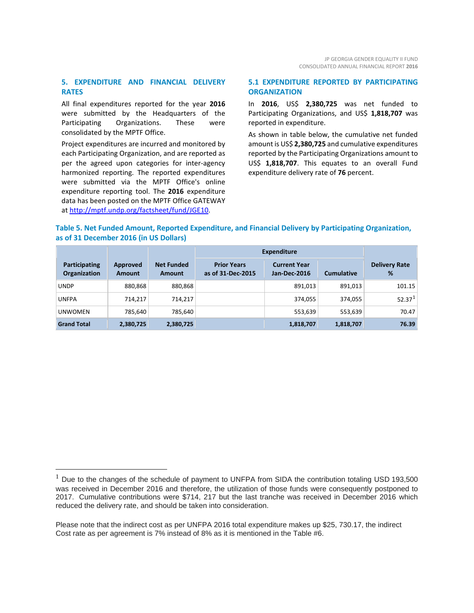# **5. EXPENDITURE AND FINANCIAL DELIVERY RATES**

All final expenditures reported for the year **2016** were submitted by the Headquarters of the Participating Organizations. These were consolidated by the MPTF Office.

Project expenditures are incurred and monitored by each Participating Organization, and are reported as per the agreed upon categories for inter-agency harmonized reporting. The reported expenditures were submitted via the MPTF Office's online expenditure reporting tool. The **2016** expenditure data has been posted on the MPTF Office GATEWAY at [http://mptf.undp.org/factsheet/fund/JGE10.](http://mptf.undp.org/factsheet/fund/JGE10) 

# **5.1 EXPENDITURE REPORTED BY PARTICIPATING ORGANIZATION**

In **2016**, US\$ **2,380,725** was net funded to Participating Organizations, and US\$ 1,818,707 was reported in expenditure.

As shown in table below, the cumulative net funded amount is US\$ **2,380,725** and cumulative expenditures reported by the Participating Organizations amount to US\$ **1,818,707**. This equates to an overall Fund expenditure delivery rate of **76** percent.

# **Table 5. Net Funded Amount, Reported Expenditure, and Financial Delivery by Participating Organization, as of 31 December 2016 (in US Dollars)**

|                                      |                           |                                    | <b>Expenditure</b>                      |                                            |                   |                           |
|--------------------------------------|---------------------------|------------------------------------|-----------------------------------------|--------------------------------------------|-------------------|---------------------------|
| Participating<br><b>Organization</b> | Approved<br><b>Amount</b> | <b>Net Funded</b><br><b>Amount</b> | <b>Prior Years</b><br>as of 31-Dec-2015 | <b>Current Year</b><br><b>Jan-Dec-2016</b> | <b>Cumulative</b> | <b>Delivery Rate</b><br>% |
| <b>UNDP</b>                          | 880,868                   | 880,868                            |                                         | 891,013                                    | 891.013           | 101.15                    |
| <b>UNFPA</b>                         | 714,217                   | 714,217                            |                                         | 374,055                                    | 374,055           | 52.37 <sup>1</sup>        |
| <b>UNWOMEN</b>                       | 785,640                   | 785,640                            |                                         | 553,639                                    | 553,639           | 70.47                     |
| <b>Grand Total</b>                   | 2,380,725                 | 2,380,725                          |                                         | 1,818,707                                  | 1,818,707         | 76.39                     |

<span id="page-8-0"></span> $1$  Due to the changes of the schedule of payment to UNFPA from SIDA the contribution totaling USD 193,500 was received in December 2016 and therefore, the utilization of those funds were consequently postponed to 2017. Cumulative contributions were \$714, 217 but the last tranche was received in December 2016 which reduced the delivery rate, and should be taken into consideration.

Please note that the indirect cost as per UNFPA 2016 total expenditure makes up \$25, 730.17, the indirect Cost rate as per agreement is 7% instead of 8% as it is mentioned in the Table #6.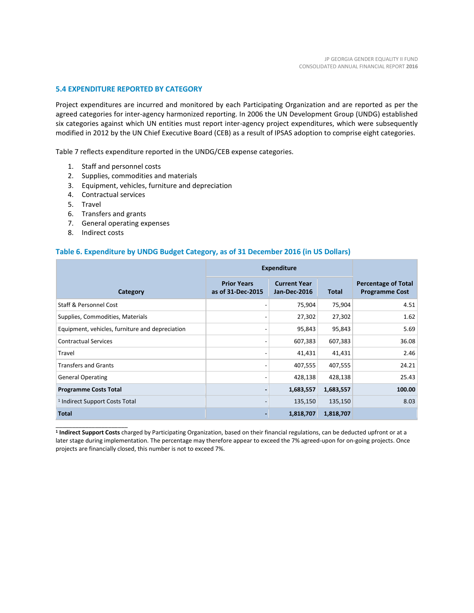# **5.4 EXPENDITURE REPORTED BY CATEGORY**

Project expenditures are incurred and monitored by each Participating Organization and are reported as per the agreed categories for inter-agency harmonized reporting. In 2006 the UN Development Group (UNDG) established six categories against which UN entities must report inter-agency project expenditures, which were subsequently modified in 2012 by the UN Chief Executive Board (CEB) as a result of IPSAS adoption to comprise eight categories.

Table 7 reflects expenditure reported in the UNDG/CEB expense categories.

- 1. Staff and personnel costs
- 2. Supplies, commodities and materials
- 3. Equipment, vehicles, furniture and depreciation
- 4. Contractual services
- 5. Travel
- 6. Transfers and grants
- 7. General operating expenses
- 8. Indirect costs

\_\_\_\_\_\_\_\_\_\_\_\_\_\_\_\_\_\_\_\_\_\_

# **Table 6. Expenditure by UNDG Budget Category, as of 31 December 2016 (in US Dollars)**

|                                                 | <b>Expenditure</b>                      |                                     |           |                                                     |
|-------------------------------------------------|-----------------------------------------|-------------------------------------|-----------|-----------------------------------------------------|
| Category                                        | <b>Prior Years</b><br>as of 31-Dec-2015 | <b>Current Year</b><br>Jan-Dec-2016 | Total     | <b>Percentage of Total</b><br><b>Programme Cost</b> |
| <b>Staff &amp; Personnel Cost</b>               |                                         | 75,904                              | 75,904    | 4.51                                                |
| Supplies, Commodities, Materials                |                                         | 27,302                              | 27,302    | 1.62                                                |
| Equipment, vehicles, furniture and depreciation |                                         | 95,843                              | 95,843    | 5.69                                                |
| <b>Contractual Services</b>                     |                                         | 607,383                             | 607,383   | 36.08                                               |
| Travel                                          |                                         | 41,431                              | 41,431    | 2.46                                                |
| <b>Transfers and Grants</b>                     |                                         | 407,555                             | 407,555   | 24.21                                               |
| <b>General Operating</b>                        |                                         | 428,138                             | 428,138   | 25.43                                               |
| <b>Programme Costs Total</b>                    |                                         | 1,683,557                           | 1,683,557 | 100.00                                              |
| <sup>1</sup> Indirect Support Costs Total       |                                         | 135,150                             | 135,150   | 8.03                                                |
| <b>Total</b>                                    |                                         | 1,818,707                           | 1,818,707 |                                                     |

**<sup>1</sup> Indirect Support Costs** charged by Participating Organization, based on their financial regulations, can be deducted upfront or at a later stage during implementation. The percentage may therefore appear to exceed the 7% agreed-upon for on-going projects. Once projects are financially closed, this number is not to exceed 7%.